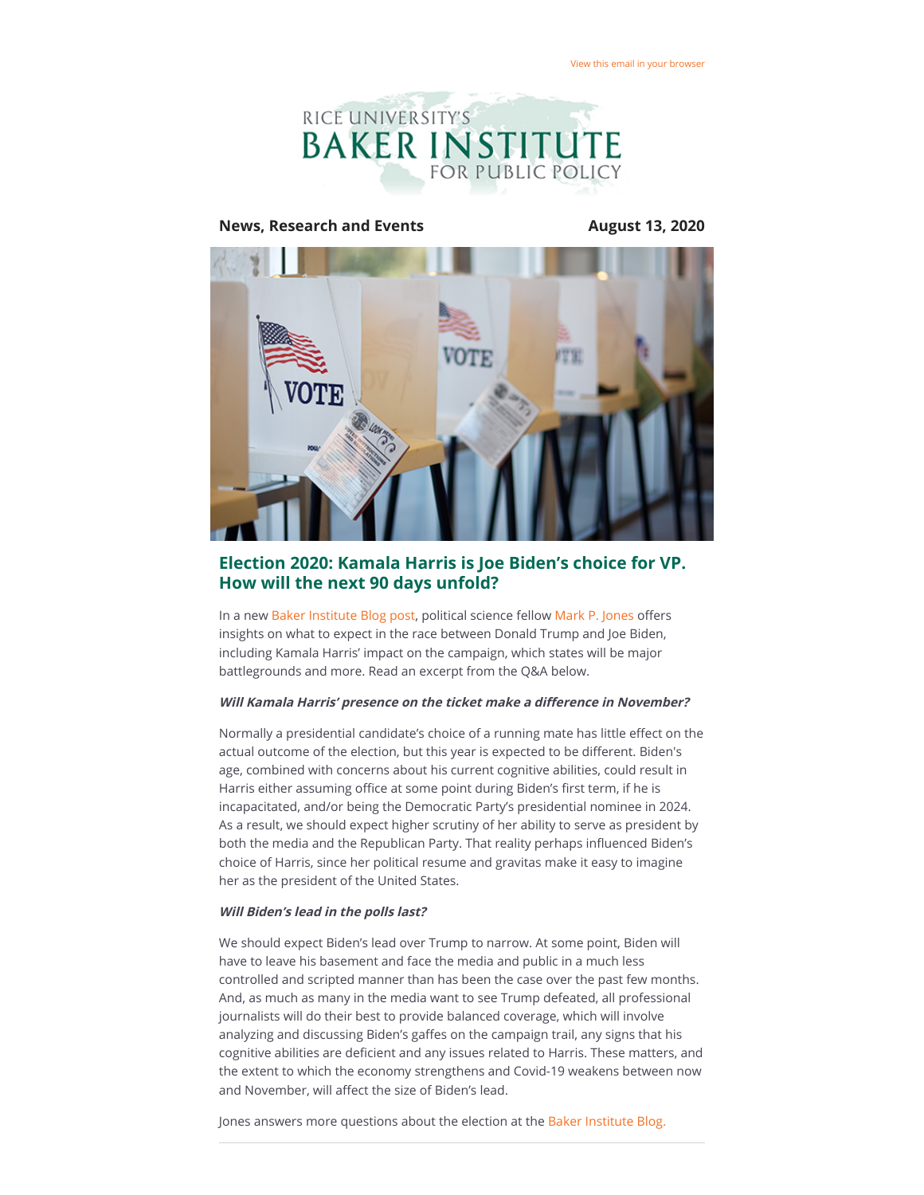

### **News, Research and Events August 13, 2020**



## **Election 2020: Kamala Harris is Joe Biden's choice for VP. How will the next 90 days unfold?**

In a new [Baker Institute Blog post](https://riceconnect.rice.edu/page.redir?target=http%3a%2f%2fbakerinstituteblog.blogs.rice.edu%2f2020%2f08%2f12%2felection-2020-kamala-harris-is-bidens-choice-for-vp-how-will-the-next-90-days-unfold%2f&srcid=149139&srctid=1&erid=b798a66c-ca88-4093-87c9-b2b511eebe57&trid=b798a66c-ca88-4093-87c9-b2b511eebe57), political science fellow [Mark P. Jones](https://riceconnect.rice.edu/page.redir?target=https%3a%2f%2fwww.bakerinstitute.org%2fexperts%2fmark-p-jones%2f&srcid=149139&srctid=1&erid=b798a66c-ca88-4093-87c9-b2b511eebe57&trid=b798a66c-ca88-4093-87c9-b2b511eebe57) offers insights on what to expect in the race between Donald Trump and Joe Biden, including Kamala Harris' impact on the campaign, which states will be major battlegrounds and more. Read an excerpt from the Q&A below.

### **Will Kamala Harris' presence on the ticket make a difference in November?**

Normally a presidential candidate's choice of a running mate has little effect on the actual outcome of the election, but this year is expected to be different. Biden's age, combined with concerns about his current cognitive abilities, could result in Harris either assuming office at some point during Biden's first term, if he is incapacitated, and/or being the Democratic Party's presidential nominee in 2024. As a result, we should expect higher scrutiny of her ability to serve as president by both the media and the Republican Party. That reality perhaps influenced Biden's choice of Harris, since her political resume and gravitas make it easy to imagine her as the president of the United States.

#### **Will Biden's lead in the polls last?**

We should expect Biden's lead over Trump to narrow. At some point, Biden will have to leave his basement and face the media and public in a much less controlled and scripted manner than has been the case over the past few months. And, as much as many in the media want to see Trump defeated, all professional journalists will do their best to provide balanced coverage, which will involve analyzing and discussing Biden's gaffes on the campaign trail, any signs that his cognitive abilities are deficient and any issues related to Harris. These matters, and the extent to which the economy strengthens and Covid-19 weakens between now and November, will affect the size of Biden's lead.

Jones answers more questions about the election at the [Baker Institute Blog.](https://riceconnect.rice.edu/page.redir?target=http%3a%2f%2fbakerinstituteblog.blogs.rice.edu%2f2020%2f08%2f12%2felection-2020-kamala-harris-is-bidens-choice-for-vp-how-will-the-next-90-days-unfold%2f&srcid=149139&srctid=1&erid=b798a66c-ca88-4093-87c9-b2b511eebe57&trid=b798a66c-ca88-4093-87c9-b2b511eebe57)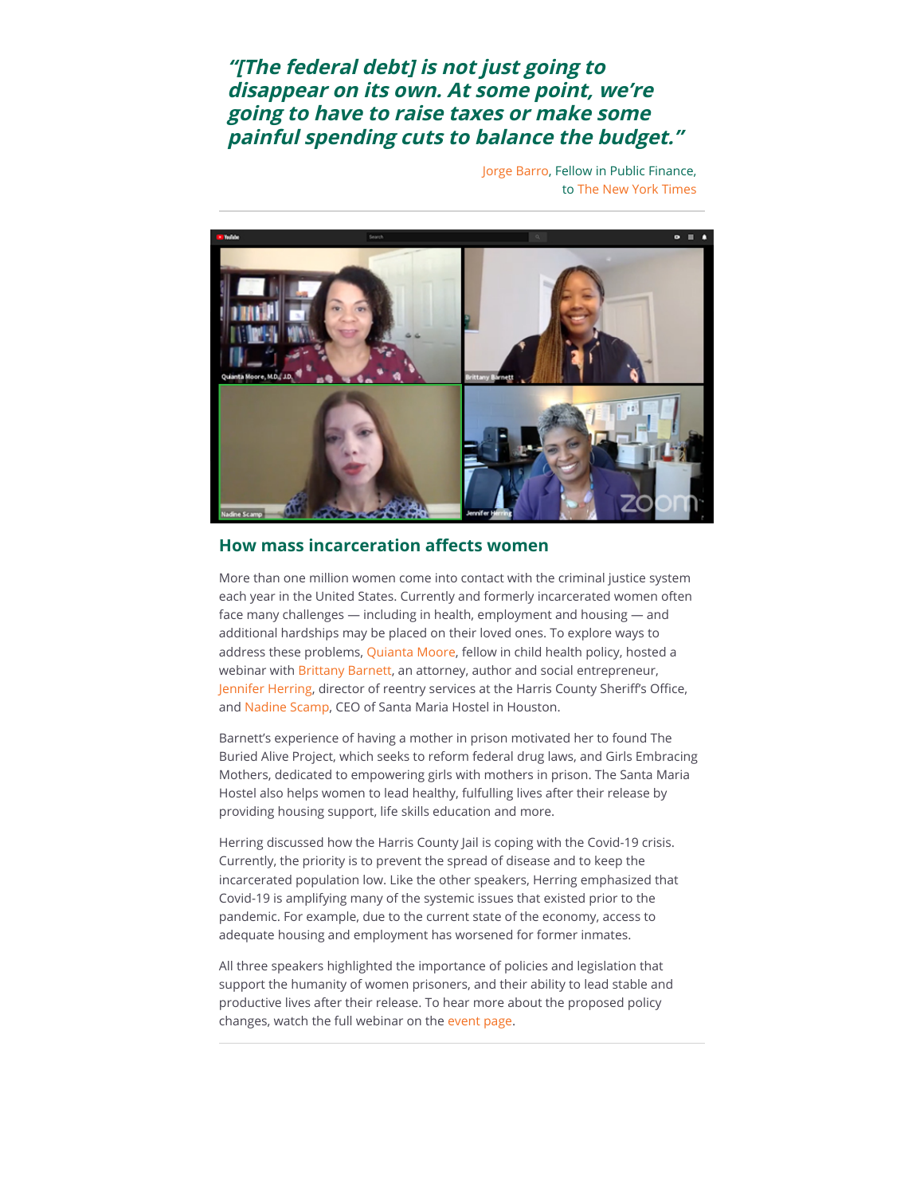# **"[The federal debt] is not just going to disappear on its own. At some point, we're going to have to raise taxes or make some painful spending cuts to balance the budget."**

[Jorge Barro,](https://riceconnect.rice.edu/page.redir?target=https%3a%2f%2fwww.bakerinstitute.org%2fexperts%2fjorge-barro%2f&srcid=149139&srctid=1&erid=b798a66c-ca88-4093-87c9-b2b511eebe57&trid=b798a66c-ca88-4093-87c9-b2b511eebe57) Fellow in Public Finance, to [The New York Times](https://riceconnect.rice.edu/page.redir?target=https%3a%2f%2fwww.nytimes.com%2f2020%2f08%2f06%2fopinion%2fdebt-coronavirus-senate-republicans.html&srcid=149139&srctid=1&erid=b798a66c-ca88-4093-87c9-b2b511eebe57&trid=b798a66c-ca88-4093-87c9-b2b511eebe57)



## **How mass incarceration affects women**

More than one million women come into contact with the criminal justice system each year in the United States. Currently and formerly incarcerated women often face many challenges — including in health, employment and housing — and additional hardships may be placed on their loved ones. To explore ways to address these problems, [Quianta Moore,](https://riceconnect.rice.edu/page.redir?target=https%3a%2f%2fwww.bakerinstitute.org%2fexperts%2fquianta-moore%2f&srcid=149139&srctid=1&erid=b798a66c-ca88-4093-87c9-b2b511eebe57&trid=b798a66c-ca88-4093-87c9-b2b511eebe57) fellow in child health policy, hosted a webinar with [Brittany Barnett,](https://riceconnect.rice.edu/page.redir?target=https%3a%2f%2fwww.brittanykbarnett.com%2fabout&srcid=149139&srctid=1&erid=b798a66c-ca88-4093-87c9-b2b511eebe57&trid=b798a66c-ca88-4093-87c9-b2b511eebe57) an attorney, author and social entrepreneur, [Jennifer Herring,](https://riceconnect.rice.edu/page.redir?target=https%3a%2f%2fwww.houstonchronicle.com%2ftank%2fjennifer%2f&srcid=149139&srctid=1&erid=b798a66c-ca88-4093-87c9-b2b511eebe57&trid=b798a66c-ca88-4093-87c9-b2b511eebe57) director of reentry services at the Harris County Sheriff's Office, and [Nadine Scamp](https://riceconnect.rice.edu/page.redir?target=http%3a%2f%2fwww.santamariahostel.org%2fabout-us%2fstaff%2f&srcid=149139&srctid=1&erid=b798a66c-ca88-4093-87c9-b2b511eebe57&trid=b798a66c-ca88-4093-87c9-b2b511eebe57), CEO of Santa Maria Hostel in Houston.

Barnett's experience of having a mother in prison motivated her to found The Buried Alive Project, which seeks to reform federal drug laws, and Girls Embracing Mothers, dedicated to empowering girls with mothers in prison. The Santa Maria Hostel also helps women to lead healthy, fulfulling lives after their release by providing housing support, life skills education and more.

Herring discussed how the Harris County Jail is coping with the Covid-19 crisis. Currently, the priority is to prevent the spread of disease and to keep the incarcerated population low. Like the other speakers, Herring emphasized that Covid-19 is amplifying many of the systemic issues that existed prior to the pandemic. For example, due to the current state of the economy, access to adequate housing and employment has worsened for former inmates.

All three speakers highlighted the importance of policies and legislation that support the humanity of women prisoners, and their ability to lead stable and productive lives after their release. To hear more about the proposed policy changes, watch the full webinar on the [event page.](https://riceconnect.rice.edu/page.redir?target=https%3a%2f%2fwww.bakerinstitute.org%2fevents%2f2117%2f&srcid=149139&srctid=1&erid=b798a66c-ca88-4093-87c9-b2b511eebe57&trid=b798a66c-ca88-4093-87c9-b2b511eebe57)